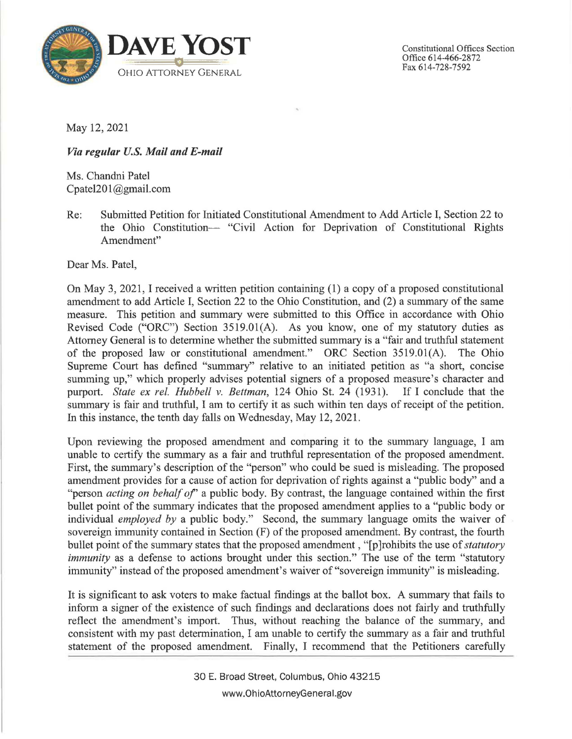

May 12, 2021

## *Via regular U.S. Mail and E-mail*

Ms. Chandni Patel Cpatel20 [l@gmail.com](mailto:l@gmail.com)

Re: Submitted Petition for Initiated Constitutional Amendment to Add Article I, Section 22 to the Ohio Constitution- "Civil Action for Deprivation of Constitutional Rights Amendment"

Dear Ms. Patel,

On May 3, 2021, I received a written petition containing (1) a copy of a proposed constitutional amendment to add Article I, Section 22 to the Ohio Constitution, and (2) a summary of the same measure. This petition and summary were submitted to this Office in accordance with Ohio Revised Code ("ORC") Section 3519.0l(A). As you know, one of my statutory duties as Attorney General is to determine whether the submitted summary is a "fair and truthful statement of the proposed law or constitutional amendment." ORC Section 3519.0l(A). The Ohio Supreme Court has defined "summary" relative to an initiated petition as "a short, concise summing up," which properly advises potential signers of a proposed measure's character and purport. State ex rel. Hubbell v. Bettman, 124 Ohio St. 24 (1931). If I conclude that the purport. *State ex rel. Hubbell v. Bettman*, 124 Ohio St. 24 (1931). summary is fair and truthful, I am to certify it as such within ten days of receipt of the petition. In this instance, the tenth day falls on Wednesday, May 12, 2021.

Upon reviewing the proposed amendment and comparing it to the summary language, I am unable to certify the summary as a fair and truthful representation of the proposed amendment. First, the summary's description of the "person" who could be sued is misleading. The proposed amendment provides for a cause of action for deprivation of rights against a "public body" and a "person *acting on behalf of*" a public body. By contrast, the language contained within the first bullet point of the summary indicates that the proposed amendment applies to a "public body or individual *employed by* a public body." Second, the summary language omits the waiver of sovereign immunity contained in Section (F) of the proposed amendment. By contrast, the fourth bullet point of the summary states that the proposed amendment , "[p ]rohibits the use of *statutory immunity* as a defense to actions brought under this section." The use of the term "statutory immunity" instead of the proposed amendment's waiver of "sovereign immunity" is misleading.

It is significant to ask voters to make factual findings at the ballot box. A summary that fails to inform a signer of the existence of such findings and declarations does not fairly and truthfully reflect the amendment's import. Thus, without reaching the balance of the summary, and consistent with my past determination, I am unable to certify the summary as a fair and truthful statement of the proposed amendment. Finally, I recommend that the Petitioners carefully